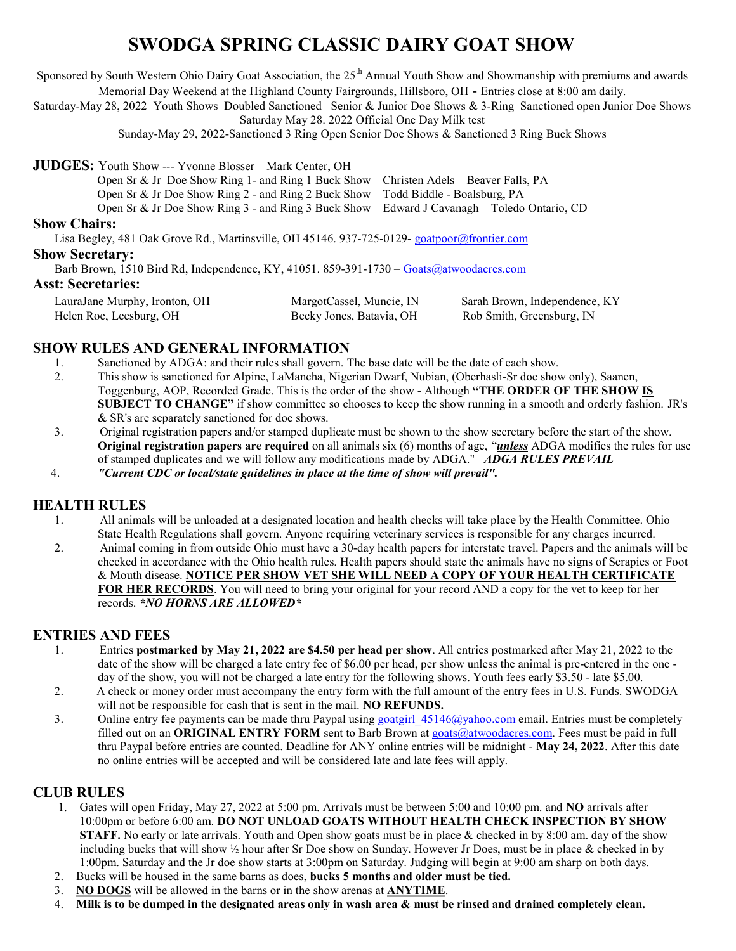# SWODGA SPRING CLASSIC DAIRY GOAT SHOW

Sponsored by South Western Ohio Dairy Goat Association, the  $25<sup>th</sup>$  Annual Youth Show and Showmanship with premiums and awards Memorial Day Weekend at the Highland County Fairgrounds, Hillsboro, OH - Entries close at 8:00 am daily.

Saturday-May 28, 2022–Youth Shows–Doubled Sanctioned– Senior & Junior Doe Shows & 3-Ring–Sanctioned open Junior Doe Shows

Saturday May 28. 2022 Official One Day Milk test

Sunday-May 29, 2022-Sanctioned 3 Ring Open Senior Doe Shows & Sanctioned 3 Ring Buck Shows

JUDGES: Youth Show --- Yvonne Blosser – Mark Center, OH

Open Sr & Jr Doe Show Ring 1- and Ring 1 Buck Show – Christen Adels – Beaver Falls, PA

Open Sr & Jr Doe Show Ring 2 - and Ring 2 Buck Show – Todd Biddle - Boalsburg, PA

Open Sr & Jr Doe Show Ring 3 - and Ring 3 Buck Show – Edward J Cavanagh – Toledo Ontario, CD

### Show Chairs:

Lisa Begley, 481 Oak Grove Rd., Martinsville, OH 45146. 937-725-0129- goatpoor@frontier.com

#### Show Secretary:

Barb Brown, 1510 Bird Rd, Independence, KY, 41051. 859-391-1730 – Goats@atwoodacres.com

### Asst: Secretaries:

 LauraJane Murphy, Ironton, OH MargotCassel, Muncie, IN Sarah Brown, Independence, KY Helen Roe, Leesburg, OH Becky Jones, Batavia, OH Rob Smith, Greensburg, IN

## SHOW RULES AND GENERAL INFORMATION

- 1. Sanctioned by ADGA: and their rules shall govern. The base date will be the date of each show.
- 2. This show is sanctioned for Alpine, LaMancha, Nigerian Dwarf, Nubian, (Oberhasli-Sr doe show only), Saanen, Toggenburg, AOP, Recorded Grade. This is the order of the show - Although "THE ORDER OF THE SHOW IS SUBJECT TO CHANGE" if show committee so chooses to keep the show running in a smooth and orderly fashion. JR's & SR's are separately sanctioned for doe shows.
- 3. Original registration papers and/or stamped duplicate must be shown to the show secretary before the start of the show. Original registration papers are required on all animals six (6) months of age, "*unless* ADGA modifies the rules for use of stamped duplicates and we will follow any modifications made by ADGA." ADGA RULES PREVAIL
- 4. "Current CDC or local/state guidelines in place at the time of show will prevail".

# HEALTH RULES

- 1. All animals will be unloaded at a designated location and health checks will take place by the Health Committee. Ohio State Health Regulations shall govern. Anyone requiring veterinary services is responsible for any charges incurred.
- 2. Animal coming in from outside Ohio must have a 30-day health papers for interstate travel. Papers and the animals will be checked in accordance with the Ohio health rules. Health papers should state the animals have no signs of Scrapies or Foot & Mouth disease. NOTICE PER SHOW VET SHE WILL NEED A COPY OF YOUR HEALTH CERTIFICATE FOR HER RECORDS. You will need to bring your original for your record AND a copy for the vet to keep for her records. \*NO HORNS ARE ALLOWED\*

### ENTRIES AND FEES

- 1. Entries postmarked by May 21, 2022 are \$4.50 per head per show. All entries postmarked after May 21, 2022 to the date of the show will be charged a late entry fee of \$6.00 per head, per show unless the animal is pre-entered in the one day of the show, you will not be charged a late entry for the following shows. Youth fees early \$3.50 - late \$5.00.
- 2. A check or money order must accompany the entry form with the full amount of the entry fees in U.S. Funds. SWODGA will not be responsible for cash that is sent in the mail. NO REFUNDS.
- 3. Online entry fee payments can be made thru Paypal using goatgirl  $45146@yahooo.com$  email. Entries must be completely filled out on an **ORIGINAL ENTRY FORM** sent to Barb Brown at goats  $@$ atwoodacres.com. Fees must be paid in full thru Paypal before entries are counted. Deadline for ANY online entries will be midnight - May 24, 2022. After this date no online entries will be accepted and will be considered late and late fees will apply.

### CLUB RULES

- 1. Gates will open Friday, May 27, 2022 at 5:00 pm. Arrivals must be between 5:00 and 10:00 pm. and NO arrivals after 10:00pm or before 6:00 am. DO NOT UNLOAD GOATS WITHOUT HEALTH CHECK INSPECTION BY SHOW STAFF. No early or late arrivals. Youth and Open show goats must be in place & checked in by 8:00 am. day of the show including bucks that will show ½ hour after Sr Doe show on Sunday. However Jr Does, must be in place & checked in by 1:00pm. Saturday and the Jr doe show starts at 3:00pm on Saturday. Judging will begin at 9:00 am sharp on both days.
- 2. Bucks will be housed in the same barns as does, bucks 5 months and older must be tied.
- 3. NO DOGS will be allowed in the barns or in the show arenas at ANYTIME.
- 4. Milk is to be dumped in the designated areas only in wash area & must be rinsed and drained completely clean.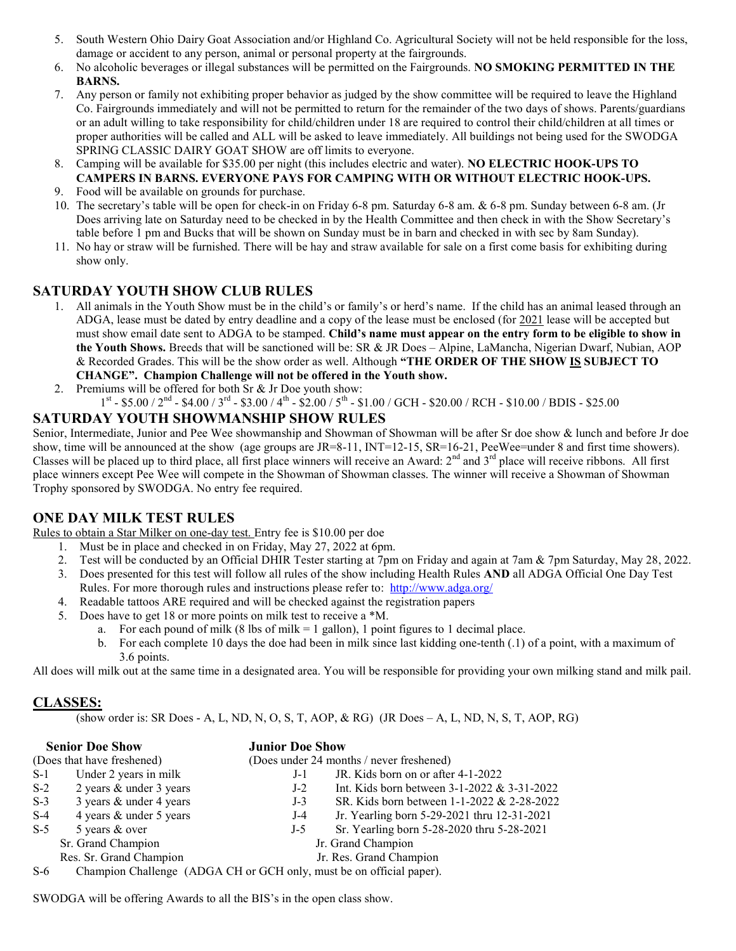- 5. South Western Ohio Dairy Goat Association and/or Highland Co. Agricultural Society will not be held responsible for the loss, damage or accident to any person, animal or personal property at the fairgrounds.
- 6. No alcoholic beverages or illegal substances will be permitted on the Fairgrounds. NO SMOKING PERMITTED IN THE BARNS.
- 7. Any person or family not exhibiting proper behavior as judged by the show committee will be required to leave the Highland Co. Fairgrounds immediately and will not be permitted to return for the remainder of the two days of shows. Parents/guardians or an adult willing to take responsibility for child/children under 18 are required to control their child/children at all times or proper authorities will be called and ALL will be asked to leave immediately. All buildings not being used for the SWODGA SPRING CLASSIC DAIRY GOAT SHOW are off limits to everyone.
- 8. Camping will be available for \$35.00 per night (this includes electric and water). NO ELECTRIC HOOK-UPS TO CAMPERS IN BARNS. EVERYONE PAYS FOR CAMPING WITH OR WITHOUT ELECTRIC HOOK-UPS.
- 9. Food will be available on grounds for purchase.
- 10. The secretary's table will be open for check-in on Friday 6-8 pm. Saturday 6-8 am. & 6-8 pm. Sunday between 6-8 am. (Jr Does arriving late on Saturday need to be checked in by the Health Committee and then check in with the Show Secretary's table before 1 pm and Bucks that will be shown on Sunday must be in barn and checked in with sec by 8am Sunday).
- 11. No hay or straw will be furnished. There will be hay and straw available for sale on a first come basis for exhibiting during show only.

## SATURDAY YOUTH SHOW CLUB RULES

- 1. All animals in the Youth Show must be in the child's or family's or herd's name. If the child has an animal leased through an ADGA, lease must be dated by entry deadline and a copy of the lease must be enclosed (for 2021 lease will be accepted but must show email date sent to ADGA to be stamped. Child's name must appear on the entry form to be eligible to show in the Youth Shows. Breeds that will be sanctioned will be: SR & JR Does – Alpine, LaMancha, Nigerian Dwarf, Nubian, AOP & Recorded Grades. This will be the show order as well. Although "THE ORDER OF THE SHOW IS SUBJECT TO CHANGE". Champion Challenge will not be offered in the Youth show.
- 2. Premiums will be offered for both  $Sr > Jr$  Doe youth show:
	- $1^{\text{st}}$  \$5.00 /  $2^{\text{nd}}$  \$4.00 /  $3^{\text{rd}}$  \$3.00 /  $4^{\text{th}}$  \$2.00 /  $5^{\text{th}}$  \$1.00 / GCH \$20.00 / RCH \$10.00 / BDIS \$25.00

## SATURDAY YOUTH SHOWMANSHIP SHOW RULES

Senior, Intermediate, Junior and Pee Wee showmanship and Showman of Showman will be after Sr doe show & lunch and before Jr doe show, time will be announced at the show (age groups are JR=8-11, INT=12-15, SR=16-21, PeeWee=under 8 and first time showers). Classes will be placed up to third place, all first place winners will receive an Award:  $2<sup>nd</sup>$  and  $3<sup>rd</sup>$  place will receive ribbons. All first place winners except Pee Wee will compete in the Showman of Showman classes. The winner will receive a Showman of Showman Trophy sponsored by SWODGA. No entry fee required.

# ONE DAY MILK TEST RULES

Rules to obtain a Star Milker on one-day test. Entry fee is \$10.00 per doe

- 1. Must be in place and checked in on Friday, May 27, 2022 at 6pm.
	- 2. Test will be conducted by an Official DHIR Tester starting at 7pm on Friday and again at 7am & 7pm Saturday, May 28, 2022.
	- 3. Does presented for this test will follow all rules of the show including Health Rules AND all ADGA Official One Day Test Rules. For more thorough rules and instructions please refer to: http://www.adga.org/
	- 4. Readable tattoos ARE required and will be checked against the registration papers
	- 5. Does have to get 18 or more points on milk test to receive a \*M.
		- a. For each pound of milk  $(8 \text{ lbs of milk} = 1 \text{ gallon})$ , 1 point figures to 1 decimal place.
			- b. For each complete 10 days the doe had been in milk since last kidding one-tenth (.1) of a point, with a maximum of 3.6 points.

All does will milk out at the same time in a designated area. You will be responsible for providing your own milking stand and milk pail.

# CLASSES:

(show order is: SR Does - A, L, ND, N, O, S, T, AOP, & RG) (JR Does – A, L, ND, N, S, T, AOP, RG)

| <b>Senior Doe Show</b>     |                                                                                       | <b>Junior Doe Show</b>                                  |  |  |
|----------------------------|---------------------------------------------------------------------------------------|---------------------------------------------------------|--|--|
| (Does that have freshened) |                                                                                       | (Does under 24 months / never freshened)                |  |  |
| $S-1$                      | Under 2 years in milk                                                                 | JR. Kids born on or after 4-1-2022<br>$J-1$             |  |  |
| $S-2$                      | 2 years & under 3 years                                                               | Int. Kids born between $3-1-2022 \& 3-31-2022$<br>$J-2$ |  |  |
| $S-3$                      | 3 years & under 4 years                                                               | SR. Kids born between 1-1-2022 & 2-28-2022<br>$J-3$     |  |  |
| $S-4$                      | 4 years & under 5 years                                                               | Jr. Yearling born 5-29-2021 thru 12-31-2021<br>$J-4$    |  |  |
| $S-5$                      | 5 years & over                                                                        | Sr. Yearling born 5-28-2020 thru 5-28-2021<br>$J-5$     |  |  |
|                            | Sr. Grand Champion                                                                    | Jr. Grand Champion                                      |  |  |
|                            | Res. Sr. Grand Champion                                                               | Jr. Res. Grand Champion                                 |  |  |
|                            | $S_{\ell}$ Champion Challenge $(ABC_{\ell})$ CH or GCH only must be an efficial nanov |                                                         |  |  |

S-6 Champion Challenge (ADGA CH or GCH only, must be on official paper).

SWODGA will be offering Awards to all the BIS's in the open class show.